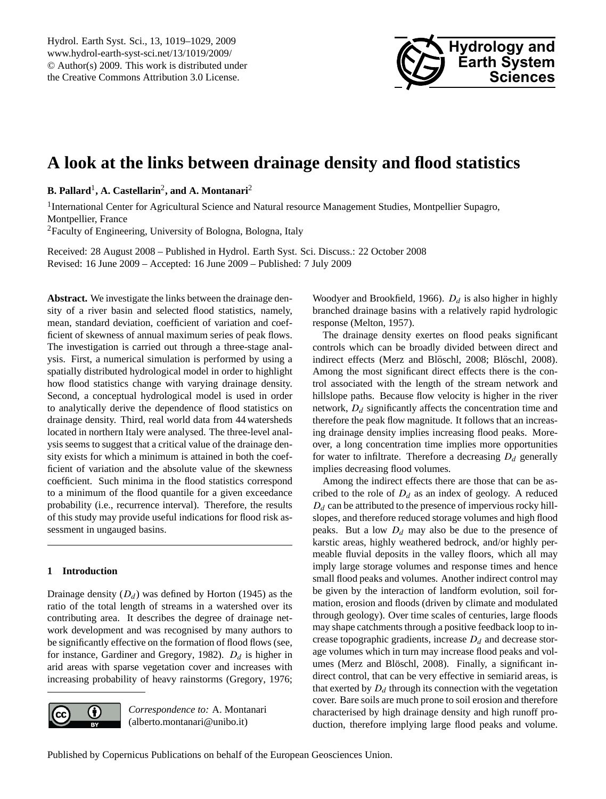

# <span id="page-0-0"></span>**A look at the links between drainage density and flood statistics**

**B. Pallard<sup>1</sup>, A. Castellarin<sup>2</sup>, and A. Montanari<sup>2</sup>** 

<sup>1</sup>International Center for Agricultural Science and Natural resource Management Studies, Montpellier Supagro, Montpellier, France

<sup>2</sup>Faculty of Engineering, University of Bologna, Bologna, Italy

Received: 28 August 2008 – Published in Hydrol. Earth Syst. Sci. Discuss.: 22 October 2008 Revised: 16 June 2009 – Accepted: 16 June 2009 – Published: 7 July 2009

**Abstract.** We investigate the links between the drainage density of a river basin and selected flood statistics, namely, mean, standard deviation, coefficient of variation and coefficient of skewness of annual maximum series of peak flows. The investigation is carried out through a three-stage analysis. First, a numerical simulation is performed by using a spatially distributed hydrological model in order to highlight how flood statistics change with varying drainage density. Second, a conceptual hydrological model is used in order to analytically derive the dependence of flood statistics on drainage density. Third, real world data from 44 watersheds located in northern Italy were analysed. The three-level analysis seems to suggest that a critical value of the drainage density exists for which a minimum is attained in both the coefficient of variation and the absolute value of the skewness coefficient. Such minima in the flood statistics correspond to a minimum of the flood quantile for a given exceedance probability (i.e., recurrence interval). Therefore, the results of this study may provide useful indications for flood risk assessment in ungauged basins.

## **1 Introduction**

Drainage density  $(D_d)$  was defined by [Horton](#page-10-0) [\(1945\)](#page-10-0) as the ratio of the total length of streams in a watershed over its contributing area. It describes the degree of drainage network development and was recognised by many authors to be significantly effective on the formation of flood flows (see, for instance, [Gardiner and Gregory,](#page-10-1) [1982\)](#page-10-1).  $D_d$  is higher in arid areas with sparse vegetation cover and increases with increasing probability of heavy rainstorms [\(Gregory,](#page-10-2) [1976;](#page-10-2)



*Correspondence to:* A. Montanari (alberto.montanari@unibo.it)

[Woodyer and Brookfield,](#page-10-3) [1966\)](#page-10-3).  $D_d$  is also higher in highly branched drainage basins with a relatively rapid hydrologic response [\(Melton,](#page-10-4) [1957\)](#page-10-4).

The drainage density exertes on flood peaks significant controls which can be broadly divided between direct and indirect effects (Merz and Blöschl, [2008;](#page-10-5) Blöschl, [2008\)](#page-9-0). Among the most significant direct effects there is the control associated with the length of the stream network and hillslope paths. Because flow velocity is higher in the river network,  $D_d$  significantly affects the concentration time and therefore the peak flow magnitude. It follows that an increasing drainage density implies increasing flood peaks. Moreover, a long concentration time implies more opportunities for water to infiltrate. Therefore a decreasing  $D_d$  generally implies decreasing flood volumes.

Among the indirect effects there are those that can be ascribed to the role of  $D_d$  as an index of geology. A reduced  $D_d$  can be attributed to the presence of impervious rocky hillslopes, and therefore reduced storage volumes and high flood peaks. But a low  $D_d$  may also be due to the presence of karstic areas, highly weathered bedrock, and/or highly permeable fluvial deposits in the valley floors, which all may imply large storage volumes and response times and hence small flood peaks and volumes. Another indirect control may be given by the interaction of landform evolution, soil formation, erosion and floods (driven by climate and modulated through geology). Over time scales of centuries, large floods may shape catchments through a positive feedback loop to increase topographic gradients, increase  $D_d$  and decrease storage volumes which in turn may increase flood peaks and vol-umes (Merz and Blöschl, [2008\)](#page-10-5). Finally, a significant indirect control, that can be very effective in semiarid areas, is that exerted by  $D_d$  through its connection with the vegetation cover. Bare soils are much prone to soil erosion and therefore characterised by high drainage density and high runoff production, therefore implying large flood peaks and volume.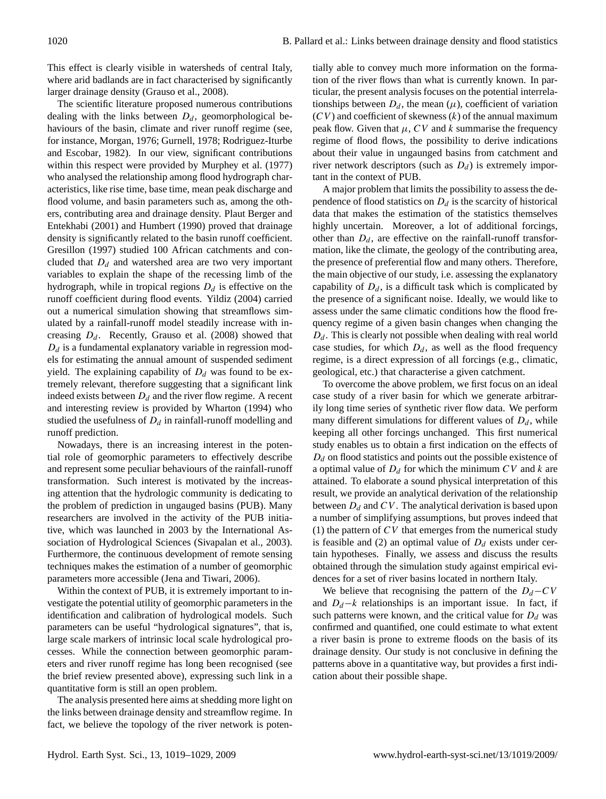This effect is clearly visible in watersheds of central Italy, where arid badlands are in fact characterised by significantly larger drainage density [\(Grauso et al.,](#page-10-6) [2008\)](#page-10-6).

The scientific literature proposed numerous contributions dealing with the links between  $D_d$ , geomorphological behaviours of the basin, climate and river runoff regime (see, for instance, [Morgan,](#page-10-7) [1976;](#page-10-7) [Gurnell,](#page-10-8) [1978;](#page-10-8) [Rodriguez-Iturbe](#page-10-9) [and Escobar,](#page-10-9) [1982\)](#page-10-9). In our view, significant contributions within this respect were provided by [Murphey et al.](#page-10-10) [\(1977\)](#page-10-10) who analysed the relationship among flood hydrograph characteristics, like rise time, base time, mean peak discharge and flood volume, and basin parameters such as, among the others, contributing area and drainage density. [Plaut Berger and](#page-10-11) [Entekhabi](#page-10-11) [\(2001\)](#page-10-11) and [Humbert](#page-10-12) [\(1990\)](#page-10-12) proved that drainage density is significantly related to the basin runoff coefficient. [Gresillon](#page-10-13) [\(1997\)](#page-10-13) studied 100 African catchments and concluded that  $D_d$  and watershed area are two very important variables to explain the shape of the recessing limb of the hydrograph, while in tropical regions  $D_d$  is effective on the runoff coefficient during flood events. [Yildiz](#page-10-14) [\(2004\)](#page-10-14) carried out a numerical simulation showing that streamflows simulated by a rainfall-runoff model steadily increase with increasing  $D_d$ . Recently, [Grauso et al.](#page-10-6) [\(2008\)](#page-10-6) showed that  $D_d$  is a fundamental explanatory variable in regression models for estimating the annual amount of suspended sediment yield. The explaining capability of  $D_d$  was found to be extremely relevant, therefore suggesting that a significant link indeed exists between  $D_d$  and the river flow regime. A recent and interesting review is provided by [Wharton](#page-10-15) [\(1994\)](#page-10-15) who studied the usefulness of  $D_d$  in rainfall-runoff modelling and runoff prediction.

Nowadays, there is an increasing interest in the potential role of geomorphic parameters to effectively describe and represent some peculiar behaviours of the rainfall-runoff transformation. Such interest is motivated by the increasing attention that the hydrologic community is dedicating to the problem of prediction in ungauged basins (PUB). Many researchers are involved in the activity of the PUB initiative, which was launched in 2003 by the International Association of Hydrological Sciences [\(Sivapalan et al.,](#page-10-16) [2003\)](#page-10-16). Furthermore, the continuous development of remote sensing techniques makes the estimation of a number of geomorphic parameters more accessible [\(Jena and Tiwari,](#page-10-17) [2006\)](#page-10-17).

Within the context of PUB, it is extremely important to investigate the potential utility of geomorphic parameters in the identification and calibration of hydrological models. Such parameters can be useful "hydrological signatures", that is, large scale markers of intrinsic local scale hydrological processes. While the connection between geomorphic parameters and river runoff regime has long been recognised (see the brief review presented above), expressing such link in a quantitative form is still an open problem.

The analysis presented here aims at shedding more light on the links between drainage density and streamflow regime. In fact, we believe the topology of the river network is potentially able to convey much more information on the formation of the river flows than what is currently known. In particular, the present analysis focuses on the potential interrelationships between  $D_d$ , the mean ( $\mu$ ), coefficient of variation  $(CV)$  and coefficient of skewness  $(k)$  of the annual maximum peak flow. Given that  $\mu$ , CV and k summarise the frequency regime of flood flows, the possibility to derive indications about their value in ungaunged basins from catchment and river network descriptors (such as  $D_d$ ) is extremely important in the context of PUB.

A major problem that limits the possibility to assess the dependence of flood statistics on  $D_d$  is the scarcity of historical data that makes the estimation of the statistics themselves highly uncertain. Moreover, a lot of additional forcings, other than  $D_d$ , are effective on the rainfall-runoff transformation, like the climate, the geology of the contributing area, the presence of preferential flow and many others. Therefore, the main objective of our study, i.e. assessing the explanatory capability of  $D_d$ , is a difficult task which is complicated by the presence of a significant noise. Ideally, we would like to assess under the same climatic conditions how the flood frequency regime of a given basin changes when changing the  $D_d$ . This is clearly not possible when dealing with real world case studies, for which  $D_d$ , as well as the flood frequency regime, is a direct expression of all forcings (e.g., climatic, geological, etc.) that characterise a given catchment.

To overcome the above problem, we first focus on an ideal case study of a river basin for which we generate arbitrarily long time series of synthetic river flow data. We perform many different simulations for different values of  $D_d$ , while keeping all other forcings unchanged. This first numerical study enables us to obtain a first indication on the effects of  $D_d$  on flood statistics and points out the possible existence of a optimal value of  $D_d$  for which the minimum CV and k are attained. To elaborate a sound physical interpretation of this result, we provide an analytical derivation of the relationship between  $D_d$  and CV. The analytical derivation is based upon a number of simplifying assumptions, but proves indeed that (1) the pattern of  $CV$  that emerges from the numerical study is feasible and (2) an optimal value of  $D_d$  exists under certain hypotheses. Finally, we assess and discuss the results obtained through the simulation study against empirical evidences for a set of river basins located in northern Italy.

We believe that recognising the pattern of the  $D_d$ –CV and  $D_d-k$  relationships is an important issue. In fact, if such patterns were known, and the critical value for  $D_d$  was confirmed and quantified, one could estimate to what extent a river basin is prone to extreme floods on the basis of its drainage density. Our study is not conclusive in defining the patterns above in a quantitative way, but provides a first indication about their possible shape.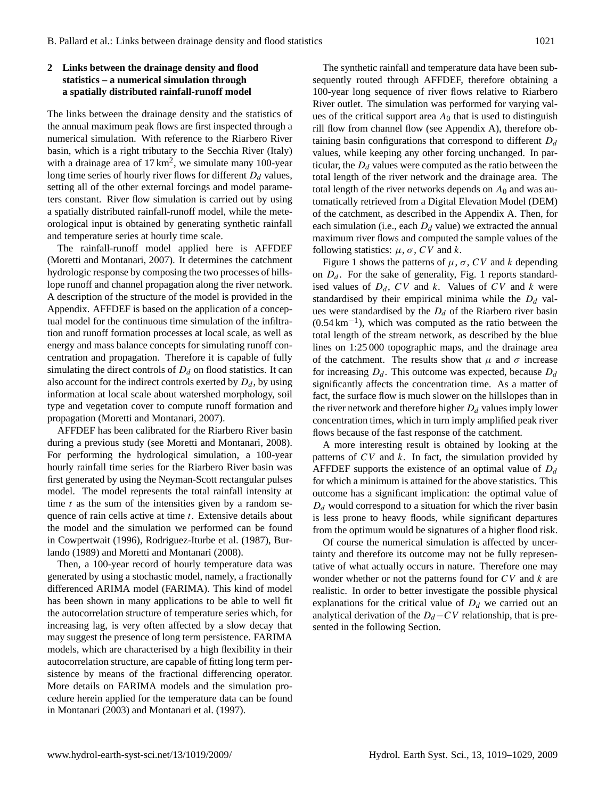## <span id="page-2-0"></span>**2 Links between the drainage density and flood statistics – a numerical simulation through a spatially distributed rainfall-runoff model**

The links between the drainage density and the statistics of the annual maximum peak flows are first inspected through a numerical simulation. With reference to the Riarbero River basin, which is a right tributary to the Secchia River (Italy) with a drainage area of  $17 \text{ km}^2$ , we simulate many 100-year long time series of hourly river flows for different  $D_d$  values, setting all of the other external forcings and model parameters constant. River flow simulation is carried out by using a spatially distributed rainfall-runoff model, while the meteorological input is obtained by generating synthetic rainfall and temperature series at hourly time scale.

The rainfall-runoff model applied here is AFFDEF [\(Moretti and Montanari,](#page-10-18) [2007\)](#page-10-18). It determines the catchment hydrologic response by composing the two processes of hillslope runoff and channel propagation along the river network. A description of the structure of the model is provided in the Appendix. AFFDEF is based on the application of a conceptual model for the continuous time simulation of the infiltration and runoff formation processes at local scale, as well as energy and mass balance concepts for simulating runoff concentration and propagation. Therefore it is capable of fully simulating the direct controls of  $D_d$  on flood statistics. It can also account for the indirect controls exerted by  $D_d$ , by using information at local scale about watershed morphology, soil type and vegetation cover to compute runoff formation and propagation [\(Moretti and Montanari,](#page-10-18) [2007\)](#page-10-18).

AFFDEF has been calibrated for the Riarbero River basin during a previous study (see [Moretti and Montanari,](#page-10-19) [2008\)](#page-10-19). For performing the hydrological simulation, a 100-year hourly rainfall time series for the Riarbero River basin was first generated by using the Neyman-Scott rectangular pulses model. The model represents the total rainfall intensity at time  $t$  as the sum of the intensities given by a random sequence of rain cells active at time t. Extensive details about the model and the simulation we performed can be found in [Cowpertwait](#page-9-1) [\(1996\)](#page-9-1), [Rodriguez-Iturbe et al.](#page-10-20) [\(1987\)](#page-10-20), [Bur](#page-9-2)[lando](#page-9-2) [\(1989\)](#page-9-2) and [Moretti and Montanari](#page-10-19) [\(2008\)](#page-10-19).

Then, a 100-year record of hourly temperature data was generated by using a stochastic model, namely, a fractionally differenced ARIMA model (FARIMA). This kind of model has been shown in many applications to be able to well fit the autocorrelation structure of temperature series which, for increasing lag, is very often affected by a slow decay that may suggest the presence of long term persistence. FARIMA models, which are characterised by a high flexibility in their autocorrelation structure, are capable of fitting long term persistence by means of the fractional differencing operator. More details on FARIMA models and the simulation procedure herein applied for the temperature data can be found in [Montanari](#page-10-21) [\(2003\)](#page-10-21) and [Montanari et al.](#page-10-22) [\(1997\)](#page-10-22).

The synthetic rainfall and temperature data have been subsequently routed through AFFDEF, therefore obtaining a 100-year long sequence of river flows relative to Riarbero River outlet. The simulation was performed for varying values of the critical support area  $A_0$  that is used to distinguish rill flow from channel flow (see Appendix A), therefore obtaining basin configurations that correspond to different  $D_d$ values, while keeping any other forcing unchanged. In particular, the  $D_d$  values were computed as the ratio between the total length of the river network and the drainage area. The total length of the river networks depends on  $A_0$  and was automatically retrieved from a Digital Elevation Model (DEM) of the catchment, as described in the Appendix A. Then, for each simulation (i.e., each  $D_d$  value) we extracted the annual maximum river flows and computed the sample values of the following statistics:  $\mu$ ,  $\sigma$ , CV and k.

Figure [1](#page-3-0) shows the patterns of  $\mu$ ,  $\sigma$ , CV and k depending on  $D_d$ . For the sake of generality, Fig. [1](#page-3-0) reports standardised values of  $D_d$ ,  $CV$  and k. Values of  $CV$  and k were standardised by their empirical minima while the  $D_d$  values were standardised by the  $D_d$  of the Riarbero river basin (0.54 km−<sup>1</sup> ), which was computed as the ratio between the total length of the stream network, as described by the blue lines on 1:25 000 topographic maps, and the drainage area of the catchment. The results show that  $\mu$  and  $\sigma$  increase for increasing  $D_d$ . This outcome was expected, because  $D_d$ significantly affects the concentration time. As a matter of fact, the surface flow is much slower on the hillslopes than in the river network and therefore higher  $D_d$  values imply lower concentration times, which in turn imply amplified peak river flows because of the fast response of the catchment.

A more interesting result is obtained by looking at the patterns of  $CV$  and k. In fact, the simulation provided by AFFDEF supports the existence of an optimal value of  $D_d$ for which a minimum is attained for the above statistics. This outcome has a significant implication: the optimal value of  $D_d$  would correspond to a situation for which the river basin is less prone to heavy floods, while significant departures from the optimum would be signatures of a higher flood risk.

Of course the numerical simulation is affected by uncertainty and therefore its outcome may not be fully representative of what actually occurs in nature. Therefore one may wonder whether or not the patterns found for  $CV$  and  $k$  are realistic. In order to better investigate the possible physical explanations for the critical value of  $D_d$  we carried out an analytical derivation of the  $D_d$ –CV relationship, that is presented in the following Section.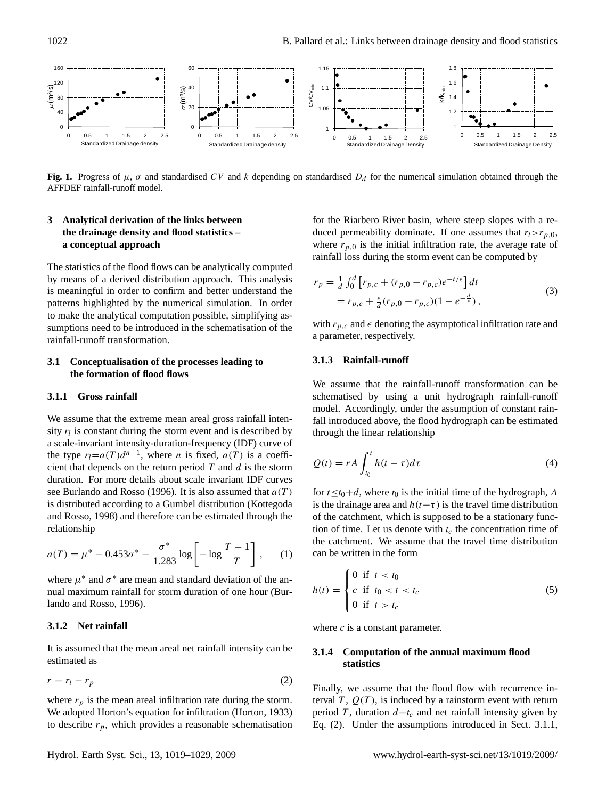

<span id="page-3-0"></span>**Fig. 1.** Progress of  $\mu$ ,  $\sigma$  and standardised CV and k depending on standardised  $D_d$  for the numerical simulation obtained through the AFFDEF rainfall-runoff model.

# <span id="page-3-6"></span>**3 Analytical derivation of the links between the drainage density and flood statistics – a conceptual approach**

The statistics of the flood flows can be analytically computed by means of a derived distribution approach. This analysis is meaningful in order to confirm and better understand the patterns highlighted by the numerical simulation. In order to make the analytical computation possible, simplifying assumptions need to be introduced in the schematisation of the rainfall-runoff transformation.

## **3.1 Conceptualisation of the processes leading to the formation of flood flows**

## <span id="page-3-2"></span>**3.1.1 Gross rainfall**

We assume that the extreme mean areal gross rainfall intensity  $r_l$  is constant during the storm event and is described by a scale-invariant intensity-duration-frequency (IDF) curve of the type  $r_l = a(T) d^{n-1}$ , where *n* is fixed,  $a(T)$  is a coefficient that depends on the return period  $T$  and  $d$  is the storm duration. For more details about scale invariant IDF curves see [Burlando and Rosso](#page-9-3) [\(1996\)](#page-9-3). It is also assumed that  $a(T)$ is distributed according to a Gumbel distribution [\(Kottegoda](#page-10-23) [and Rosso,](#page-10-23) [1998\)](#page-10-23) and therefore can be estimated through the relationship

$$
a(T) = \mu^* - 0.453\sigma^* - \frac{\sigma^*}{1.283} \log \left[ -\log \frac{T-1}{T} \right], \quad (1)
$$

where  $\mu^*$  and  $\sigma^*$  are mean and standard deviation of the annual maximum rainfall for storm duration of one hour [\(Bur](#page-9-3)[lando and Rosso,](#page-9-3) [1996\)](#page-9-3).

## <span id="page-3-3"></span>**3.1.2 Net rainfall**

It is assumed that the mean areal net rainfall intensity can be estimated as

<span id="page-3-1"></span>
$$
r = r_l - r_p \tag{2}
$$

where  $r_p$  is the mean areal infiltration rate during the storm. We adopted Horton's equation for infiltration [\(Horton,](#page-10-24) [1933\)](#page-10-24) to describe  $r_p$ , which provides a reasonable schematisation

for the Riarbero River basin, where steep slopes with a reduced permeability dominate. If one assumes that  $r_l > r_{p,0}$ , where  $r_{p,0}$  is the initial infiltration rate, the average rate of rainfall loss during the storm event can be computed by

$$
r_p = \frac{1}{d} \int_0^d \left[ r_{p,c} + (r_{p,0} - r_{p,c}) e^{-t/\epsilon} \right] dt
$$
  
=  $r_{p,c} + \frac{\epsilon}{d} (r_{p,0} - r_{p,c}) (1 - e^{-\frac{d}{\epsilon}}),$  (3)

with  $r_{p,c}$  and  $\epsilon$  denoting the asymptotical infiltration rate and a parameter, respectively.

# <span id="page-3-4"></span>**3.1.3 Rainfall-runoff**

We assume that the rainfall-runoff transformation can be schematised by using a unit hydrograph rainfall-runoff model. Accordingly, under the assumption of constant rainfall introduced above, the flood hydrograph can be estimated through the linear relationship

$$
Q(t) = rA \int_{t_0}^t h(t - \tau) d\tau
$$
 (4)

for  $t \leq t_0+d$ , where  $t_0$  is the initial time of the hydrograph, A is the drainage area and  $h(t-\tau)$  is the travel time distribution of the catchment, which is supposed to be a stationary function of time. Let us denote with  $t_c$  the concentration time of the catchment. We assume that the travel time distribution can be written in the form

$$
h(t) = \begin{cases} 0 & \text{if } t < t_0 \\ c & \text{if } t_0 < t < t_c \\ 0 & \text{if } t > t_c \end{cases} \tag{5}
$$

where  $c$  is a constant parameter.

## <span id="page-3-5"></span>**3.1.4 Computation of the annual maximum flood statistics**

Finally, we assume that the flood flow with recurrence interval  $T$ ,  $Q(T)$ , is induced by a rainstorm event with return period T, duration  $d=t_c$  and net rainfall intensity given by Eq. [\(2\)](#page-3-1). Under the assumptions introduced in Sect. [3.1.1,](#page-3-2)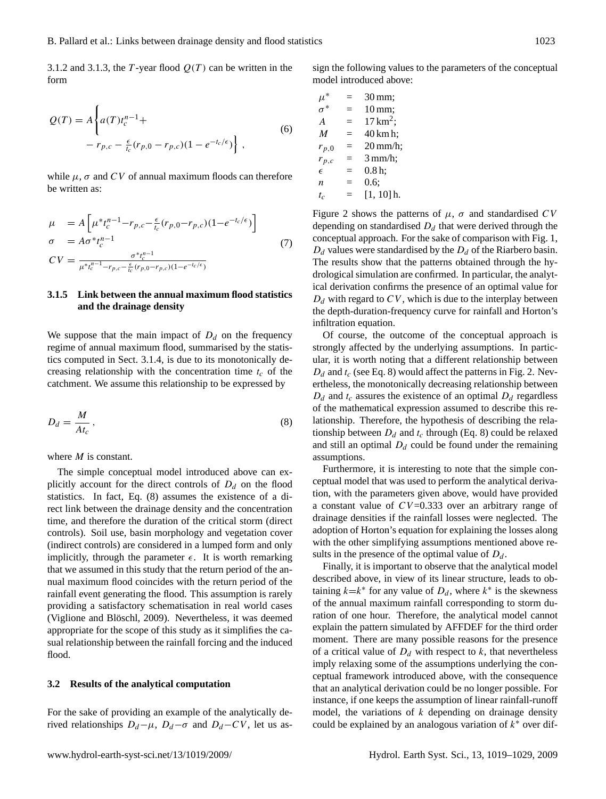[3.1.2](#page-3-3) and [3.1.3,](#page-3-4) the T-year flood  $Q(T)$  can be written in the form

$$
Q(T) = A \left\{ a(T)t_c^{n-1} + -r_{p,c} - \frac{\epsilon}{t_c}(r_{p,0} - r_{p,c})(1 - e^{-t_c/\epsilon}) \right\},
$$
\n(6)

while  $\mu$ ,  $\sigma$  and CV of annual maximum floods can therefore be written as:

$$
\mu = A \left[ \mu^* t_c^{n-1} - r_{p,c} - \frac{\epsilon}{t_c} (r_{p,0} - r_{p,c}) (1 - e^{-t_c/\epsilon}) \right]
$$
\n
$$
\sigma = A \sigma^* t_c^{n-1}
$$
\n
$$
CV = \frac{\sigma^* t_c^{n-1}}{\mu^* t_c^{n-1} - r_{p,c} - \frac{\epsilon}{t_c} (r_{p,0} - r_{p,c}) (1 - e^{-t_c/\epsilon})}
$$
\n(7)

## **3.1.5 Link between the annual maximum flood statistics and the drainage density**

We suppose that the main impact of  $D_d$  on the frequency regime of annual maximum flood, summarised by the statistics computed in Sect. [3.1.4,](#page-3-5) is due to its monotonically decreasing relationship with the concentration time  $t_c$  of the catchment. We assume this relationship to be expressed by

<span id="page-4-0"></span>
$$
D_d = \frac{M}{At_c},\tag{8}
$$

where *M* is constant.

The simple conceptual model introduced above can explicitly account for the direct controls of  $D_d$  on the flood statistics. In fact, Eq. [\(8\)](#page-4-0) assumes the existence of a direct link between the drainage density and the concentration time, and therefore the duration of the critical storm (direct controls). Soil use, basin morphology and vegetation cover (indirect controls) are considered in a lumped form and only implicitly, through the parameter  $\epsilon$ . It is worth remarking that we assumed in this study that the return period of the annual maximum flood coincides with the return period of the rainfall event generating the flood. This assumption is rarely providing a satisfactory schematisation in real world cases (Viglione and Blöschl, [2009\)](#page-10-25). Nevertheless, it was deemed appropriate for the scope of this study as it simplifies the casual relationship between the rainfall forcing and the induced flood.

### **3.2 Results of the analytical computation**

For the sake of providing an example of the analytically derived relationships  $D_d-\mu$ ,  $D_d-\sigma$  and  $D_d-CV$ , let us assign the following values to the parameters of the conceptual model introduced above:

$$
\mu^* = 30 \text{ mm};
$$
  
\n
$$
\sigma^* = 10 \text{ mm};
$$
  
\n
$$
A = 17 \text{ km}^2;
$$
  
\n
$$
M = 40 \text{ km h};
$$
  
\n
$$
r_{p,0} = 20 \text{ mm/h};
$$
  
\n
$$
r_{p,c} = 3 \text{ mm/h};
$$
  
\n
$$
\epsilon = 0.8 \text{ h};
$$
  
\n
$$
n = 0.6;
$$
  
\n
$$
t_c = [1, 10] \text{ h}.
$$

Figure [2](#page-5-0) shows the patterns of  $\mu$ ,  $\sigma$  and standardised CV depending on standardised  $D_d$  that were derived through the conceptual approach. For the sake of comparison with Fig. [1,](#page-3-0)  $D_d$  values were standardised by the  $D_d$  of the Riarbero basin. The results show that the patterns obtained through the hydrological simulation are confirmed. In particular, the analytical derivation confirms the presence of an optimal value for  $D_d$  with regard to  $CV$ , which is due to the interplay between the depth-duration-frequency curve for rainfall and Horton's infiltration equation.

Of course, the outcome of the conceptual approach is strongly affected by the underlying assumptions. In particular, it is worth noting that a different relationship between  $D_d$  and  $t_c$  (see Eq. [8\)](#page-4-0) would affect the patterns in Fig. [2.](#page-5-0) Nevertheless, the monotonically decreasing relationship between  $D_d$  and  $t_c$  assures the existence of an optimal  $D_d$  regardless of the mathematical expression assumed to describe this relationship. Therefore, the hypothesis of describing the relationship between  $D_d$  and  $t_c$  through (Eq. [8\)](#page-4-0) could be relaxed and still an optimal  $D_d$  could be found under the remaining assumptions.

Furthermore, it is interesting to note that the simple conceptual model that was used to perform the analytical derivation, with the parameters given above, would have provided a constant value of  $CV=0.333$  over an arbitrary range of drainage densities if the rainfall losses were neglected. The adoption of Horton's equation for explaining the losses along with the other simplifying assumptions mentioned above results in the presence of the optimal value of  $D_d$ .

Finally, it is important to observe that the analytical model described above, in view of its linear structure, leads to obtaining  $k=k^*$  for any value of  $D_d$ , where  $k^*$  is the skewness of the annual maximum rainfall corresponding to storm duration of one hour. Therefore, the analytical model cannot explain the pattern simulated by AFFDEF for the third order moment. There are many possible reasons for the presence of a critical value of  $D_d$  with respect to k, that nevertheless imply relaxing some of the assumptions underlying the conceptual framework introduced above, with the consequence that an analytical derivation could be no longer possible. For instance, if one keeps the assumption of linear rainfall-runoff model, the variations of  $k$  depending on drainage density could be explained by an analogous variation of  $k^*$  over dif-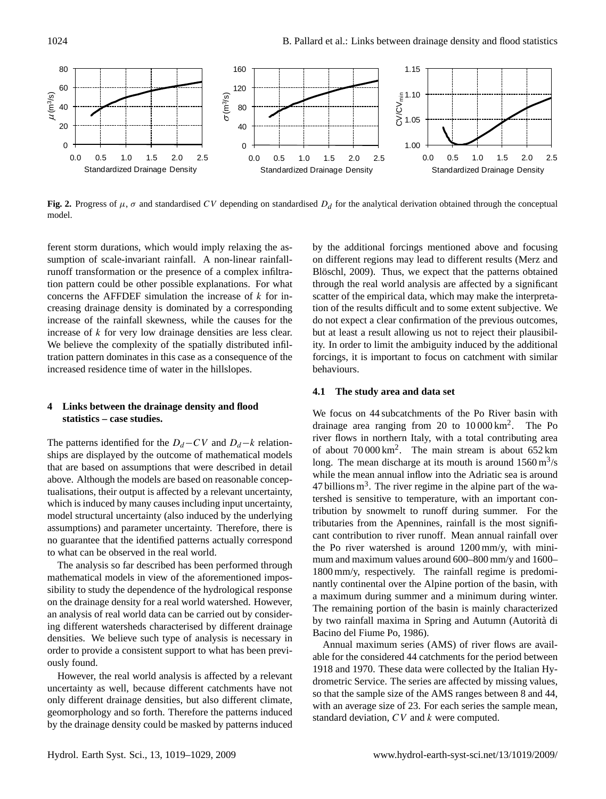

<span id="page-5-0"></span>**Fig. 2.** Progress of  $\mu$ ,  $\sigma$  and standardised CV depending on standardised  $D_d$  for the analytical derivation obtained through the conceptual model.

ferent storm durations, which would imply relaxing the assumption of scale-invariant rainfall. A non-linear rainfallrunoff transformation or the presence of a complex infiltration pattern could be other possible explanations. For what concerns the AFFDEF simulation the increase of  $k$  for increasing drainage density is dominated by a corresponding increase of the rainfall skewness, while the causes for the increase of k for very low drainage densities are less clear. We believe the complexity of the spatially distributed infiltration pattern dominates in this case as a consequence of the increased residence time of water in the hillslopes.

## <span id="page-5-1"></span>**4 Links between the drainage density and flood statistics – case studies.**

The patterns identified for the  $D_d$ –CV and  $D_d$ –k relationships are displayed by the outcome of mathematical models that are based on assumptions that were described in detail above. Although the models are based on reasonable conceptualisations, their output is affected by a relevant uncertainty, which is induced by many causes including input uncertainty, model structural uncertainty (also induced by the underlying assumptions) and parameter uncertainty. Therefore, there is no guarantee that the identified patterns actually correspond to what can be observed in the real world.

The analysis so far described has been performed through mathematical models in view of the aforementioned impossibility to study the dependence of the hydrological response on the drainage density for a real world watershed. However, an analysis of real world data can be carried out by considering different watersheds characterised by different drainage densities. We believe such type of analysis is necessary in order to provide a consistent support to what has been previously found.

However, the real world analysis is affected by a relevant uncertainty as well, because different catchments have not only different drainage densities, but also different climate, geomorphology and so forth. Therefore the patterns induced by the drainage density could be masked by patterns induced by the additional forcings mentioned above and focusing on different regions may lead to different results [\(Merz and](#page-10-26) Blöschl, [2009\)](#page-10-26). Thus, we expect that the patterns obtained through the real world analysis are affected by a significant scatter of the empirical data, which may make the interpretation of the results difficult and to some extent subjective. We do not expect a clear confirmation of the previous outcomes, but at least a result allowing us not to reject their plausibility. In order to limit the ambiguity induced by the additional forcings, it is important to focus on catchment with similar behaviours.

#### **4.1 The study area and data set**

We focus on 44 subcatchments of the Po River basin with drainage area ranging from 20 to  $10000 \text{ km}^2$ . The Po river flows in northern Italy, with a total contributing area of about  $70000 \text{ km}^2$ . The main stream is about  $652 \text{ km}$ long. The mean discharge at its mouth is around  $1560 \,\mathrm{m}^3/\mathrm{s}$ while the mean annual inflow into the Adriatic sea is around  $47$  billions  $m<sup>3</sup>$ . The river regime in the alpine part of the watershed is sensitive to temperature, with an important contribution by snowmelt to runoff during summer. For the tributaries from the Apennines, rainfall is the most significant contribution to river runoff. Mean annual rainfall over the Po river watershed is around 1200 mm/y, with minimum and maximum values around 600–800 mm/y and 1600– 1800 mm/y, respectively. The rainfall regime is predominantly continental over the Alpine portion of the basin, with a maximum during summer and a minimum during winter. The remaining portion of the basin is mainly characterized by two rainfall maxima in Spring and Autumn (Autorità di [Bacino del Fiume Po,](#page-9-4) [1986\)](#page-9-4).

Annual maximum series (AMS) of river flows are available for the considered 44 catchments for the period between 1918 and 1970. These data were collected by the Italian Hydrometric Service. The series are affected by missing values, so that the sample size of the AMS ranges between 8 and 44, with an average size of 23. For each series the sample mean, standard deviation, CV and k were computed.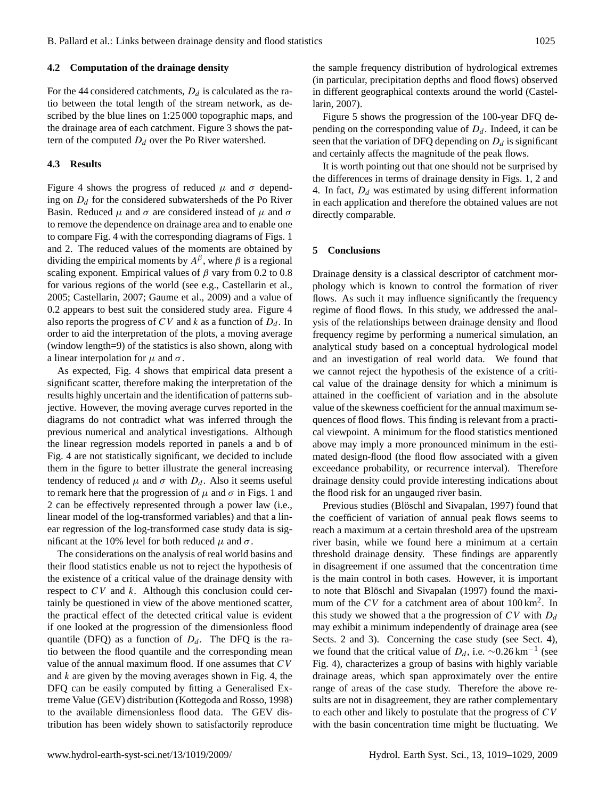#### **4.2 Computation of the drainage density**

For the 44 considered catchments,  $D_d$  is calculated as the ratio between the total length of the stream network, as described by the blue lines on 1:25 000 topographic maps, and the drainage area of each catchment. Figure [3](#page-7-0) shows the pattern of the computed  $D_d$  over the Po River watershed.

## **4.3 Results**

Figure [4](#page-7-1) shows the progress of reduced  $\mu$  and  $\sigma$  depending on  $D_d$  for the considered subwatersheds of the Po River Basin. Reduced  $\mu$  and  $\sigma$  are considered instead of  $\mu$  and  $\sigma$ to remove the dependence on drainage area and to enable one to compare Fig. 4 with the corresponding diagrams of Figs. [1](#page-3-0) and [2.](#page-5-0) The reduced values of the moments are obtained by dividing the empirical moments by  $A^{\beta}$ , where  $\beta$  is a regional scaling exponent. Empirical values of  $\beta$  vary from 0.2 to 0.8 for various regions of the world (see e.g., [Castellarin et al.,](#page-9-5) [2005;](#page-9-5) [Castellarin,](#page-9-6) [2007;](#page-9-6) [Gaume et al.,](#page-9-7) [2009\)](#page-9-7) and a value of 0.2 appears to best suit the considered study area. Figure [4](#page-7-1) also reports the progress of CV and k as a function of  $D_d$ . In order to aid the interpretation of the plots, a moving average (window length=9) of the statistics is also shown, along with a linear interpolation for  $\mu$  and  $\sigma$ .

As expected, Fig. [4](#page-7-1) shows that empirical data present a significant scatter, therefore making the interpretation of the results highly uncertain and the identification of patterns subjective. However, the moving average curves reported in the diagrams do not contradict what was inferred through the previous numerical and analytical investigations. Although the linear regression models reported in panels a and b of Fig. [4](#page-7-1) are not statistically significant, we decided to include them in the figure to better illustrate the general increasing tendency of reduced  $\mu$  and  $\sigma$  with  $D_d$ . Also it seems useful to remark here that the progression of  $\mu$  and  $\sigma$  in Figs. [1](#page-3-0) and [2](#page-5-0) can be effectively represented through a power law (i.e., linear model of the log-transformed variables) and that a linear regression of the log-transformed case study data is significant at the 10% level for both reduced  $\mu$  and  $\sigma$ .

The considerations on the analysis of real world basins and their flood statistics enable us not to reject the hypothesis of the existence of a critical value of the drainage density with respect to  $CV$  and  $k$ . Although this conclusion could certainly be questioned in view of the above mentioned scatter, the practical effect of the detected critical value is evident if one looked at the progression of the dimensionless flood quantile (DFQ) as a function of  $D_d$ . The DFQ is the ratio between the flood quantile and the corresponding mean value of the annual maximum flood. If one assumes that CV and k are given by the moving averages shown in Fig. [4,](#page-7-1) the DFQ can be easily computed by fitting a Generalised Extreme Value (GEV) distribution [\(Kottegoda and Rosso,](#page-10-23) [1998\)](#page-10-23) to the available dimensionless flood data. The GEV distribution has been widely shown to satisfactorily reproduce the sample frequency distribution of hydrological extremes (in particular, precipitation depths and flood flows) observed in different geographical contexts around the world [\(Castel](#page-9-6)[larin,](#page-9-6) [2007\)](#page-9-6).

Figure [5](#page-7-2) shows the progression of the 100-year DFQ depending on the corresponding value of  $D_d$ . Indeed, it can be seen that the variation of DFQ depending on  $D_d$  is significant and certainly affects the magnitude of the peak flows.

It is worth pointing out that one should not be surprised by the differences in terms of drainage density in Figs. [1,](#page-3-0) [2](#page-5-0) and [4.](#page-7-1) In fact,  $D_d$  was estimated by using different information in each application and therefore the obtained values are not directly comparable.

#### **5 Conclusions**

Drainage density is a classical descriptor of catchment morphology which is known to control the formation of river flows. As such it may influence significantly the frequency regime of flood flows. In this study, we addressed the analysis of the relationships between drainage density and flood frequency regime by performing a numerical simulation, an analytical study based on a conceptual hydrological model and an investigation of real world data. We found that we cannot reject the hypothesis of the existence of a critical value of the drainage density for which a minimum is attained in the coefficient of variation and in the absolute value of the skewness coefficient for the annual maximum sequences of flood flows. This finding is relevant from a practical viewpoint. A minimum for the flood statistics mentioned above may imply a more pronounced minimum in the estimated design-flood (the flood flow associated with a given exceedance probability, or recurrence interval). Therefore drainage density could provide interesting indications about the flood risk for an ungauged river basin.

Previous studies (Blöschl and Sivapalan, [1997\)](#page-9-8) found that the coefficient of variation of annual peak flows seems to reach a maximum at a certain threshold area of the upstream river basin, while we found here a minimum at a certain threshold drainage density. These findings are apparently in disagreement if one assumed that the concentration time is the main control in both cases. However, it is important to note that Blöschl and Sivapalan [\(1997\)](#page-9-8) found the maximum of the CV for a catchment area of about  $100 \text{ km}^2$ . In this study we showed that a the progression of  $CV$  with  $D_d$ may exhibit a minimum independently of drainage area (see Sects. [2](#page-2-0) and [3\)](#page-3-6). Concerning the case study (see Sect. [4\)](#page-5-1), we found that the critical value of  $D_d$ , i.e. ~0.26 km<sup>-1</sup> (see Fig. [4\)](#page-7-1), characterizes a group of basins with highly variable drainage areas, which span approximately over the entire range of areas of the case study. Therefore the above results are not in disagreement, they are rather complementary to each other and likely to postulate that the progress of CV with the basin concentration time might be fluctuating. We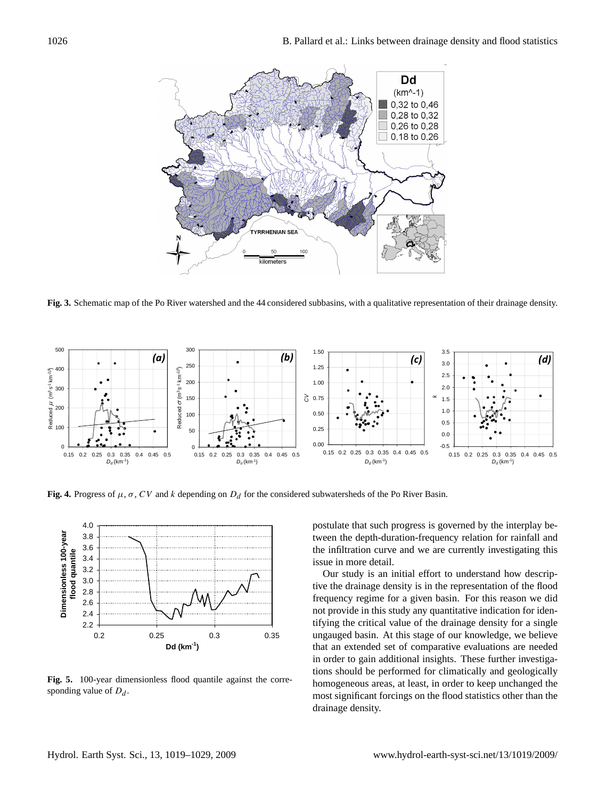

<span id="page-7-0"></span>**Fig. 3.** Schematic map of the Po River watershed and the 44 considered subbasins, with a qualitative representation of their drainage density.



<span id="page-7-1"></span>**Fig. 4.** Progress of  $\mu$ ,  $\sigma$ , CV and k depending on  $D_d$  for the considered subwatersheds of the Po River Basin.



<span id="page-7-2"></span>**Fig. 5.** 100-year dimensionless flood quantile against the corresponding value of  $D_d$ .

postulate that such progress is governed by the interplay between the depth-duration-frequency relation for rainfall and the infiltration curve and we are currently investigating this issue in more detail.

Our study is an initial effort to understand how descriptive the drainage density is in the representation of the flood frequency regime for a given basin. For this reason we did not provide in this study any quantitative indication for identifying the critical value of the drainage density for a single ungauged basin. At this stage of our knowledge, we believe that an extended set of comparative evaluations are needed in order to gain additional insights. These further investigations should be performed for climatically and geologically homogeneous areas, at least, in order to keep unchanged the most significant forcings on the flood statistics other than the drainage density.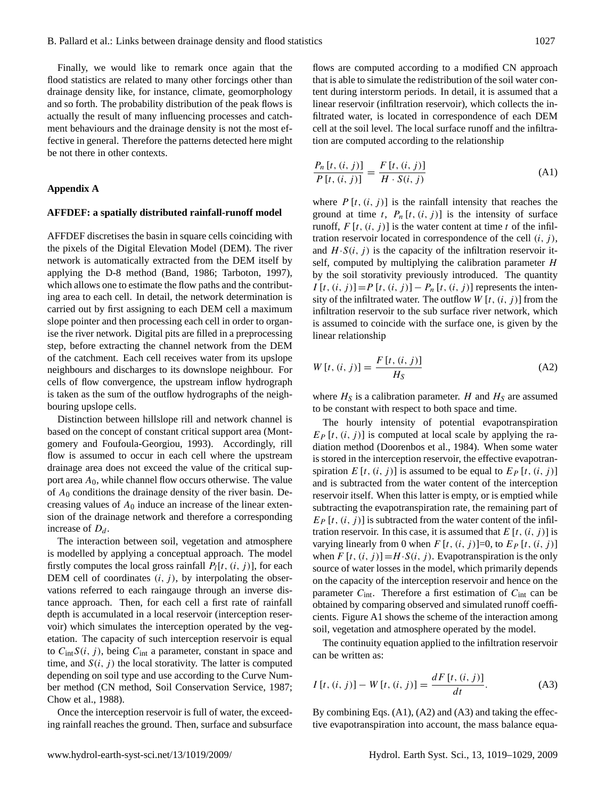Finally, we would like to remark once again that the flood statistics are related to many other forcings other than drainage density like, for instance, climate, geomorphology and so forth. The probability distribution of the peak flows is actually the result of many influencing processes and catchment behaviours and the drainage density is not the most effective in general. Therefore the patterns detected here might be not there in other contexts.

#### **Appendix A**

#### **AFFDEF: a spatially distributed rainfall-runoff model**

AFFDEF discretises the basin in square cells coinciding with the pixels of the Digital Elevation Model (DEM). The river network is automatically extracted from the DEM itself by applying the D-8 method [\(Band,](#page-9-9) [1986;](#page-9-9) [Tarboton,](#page-10-27) [1997\)](#page-10-27), which allows one to estimate the flow paths and the contributing area to each cell. In detail, the network determination is carried out by first assigning to each DEM cell a maximum slope pointer and then processing each cell in order to organise the river network. Digital pits are filled in a preprocessing step, before extracting the channel network from the DEM of the catchment. Each cell receives water from its upslope neighbours and discharges to its downslope neighbour. For cells of flow convergence, the upstream inflow hydrograph is taken as the sum of the outflow hydrographs of the neighbouring upslope cells.

Distinction between hillslope rill and network channel is based on the concept of constant critical support area [\(Mont](#page-10-28)[gomery and Foufoula-Georgiou,](#page-10-28) [1993\)](#page-10-28). Accordingly, rill flow is assumed to occur in each cell where the upstream drainage area does not exceed the value of the critical support area  $A_0$ , while channel flow occurs otherwise. The value of  $A_0$  conditions the drainage density of the river basin. Decreasing values of  $A_0$  induce an increase of the linear extension of the drainage network and therefore a corresponding increase of  $D_d$ .

The interaction between soil, vegetation and atmosphere is modelled by applying a conceptual approach. The model firstly computes the local gross rainfall  $P_l[t, (i, j)]$ , for each DEM cell of coordinates  $(i, j)$ , by interpolating the observations referred to each raingauge through an inverse distance approach. Then, for each cell a first rate of rainfall depth is accumulated in a local reservoir (interception reservoir) which simulates the interception operated by the vegetation. The capacity of such interception reservoir is equal to  $C_{\text{int}}S(i, j)$ , being  $C_{\text{int}}$  a parameter, constant in space and time, and  $S(i, j)$  the local storativity. The latter is computed depending on soil type and use according to the Curve Number method (CN method, [Soil Conservation Service,](#page-10-29) [1987;](#page-10-29) [Chow et al.,](#page-9-10) [1988\)](#page-9-10).

Once the interception reservoir is full of water, the exceeding rainfall reaches the ground. Then, surface and subsurface

flows are computed according to a modified CN approach that is able to simulate the redistribution of the soil water content during interstorm periods. In detail, it is assumed that a linear reservoir (infiltration reservoir), which collects the infiltrated water, is located in correspondence of each DEM cell at the soil level. The local surface runoff and the infiltration are computed according to the relationship

<span id="page-8-0"></span>
$$
\frac{P_n[t,(i,j)]}{P[t,(i,j)]} = \frac{F[t,(i,j)]}{H \cdot S(i,j)}
$$
(A1)

where  $P[t, (i, j)]$  is the rainfall intensity that reaches the ground at time t,  $P_n[t,(i, j)]$  is the intensity of surface runoff,  $F[t, (i, j)]$  is the water content at time t of the infiltration reservoir located in correspondence of the cell  $(i, j)$ , and  $H \cdot S(i, j)$  is the capacity of the infiltration reservoir itself, computed by multiplying the calibration parameter H by the soil storativity previously introduced. The quantity  $I [t, (i, j)] = P [t, (i, j)] - P_n [t, (i, j)]$  represents the intensity of the infiltrated water. The outflow  $W[t, (i, j)]$  from the infiltration reservoir to the sub surface river network, which is assumed to coincide with the surface one, is given by the linear relationship

<span id="page-8-1"></span>
$$
W[t, (i, j)] = \frac{F[t, (i, j)]}{H_S}
$$
 (A2)

where  $H<sub>S</sub>$  is a calibration parameter. H and  $H<sub>S</sub>$  are assumed to be constant with respect to both space and time.

The hourly intensity of potential evapotranspiration  $E_P[t, (i, j)]$  is computed at local scale by applying the radiation method [\(Doorenbos et al.,](#page-10-30) [1984\)](#page-10-30). When some water is stored in the interception reservoir, the effective evapotranspiration E [t,  $(i, j)$ ] is assumed to be equal to  $E_P$  [t,  $(i, j)$ ] and is subtracted from the water content of the interception reservoir itself. When this latter is empty, or is emptied while subtracting the evapotranspiration rate, the remaining part of  $E_P[t, (i, j)]$  is subtracted from the water content of the infiltration reservoir. In this case, it is assumed that  $E[t, (i, j)]$  is varying linearly from 0 when F  $[t, (i, j)] = 0$ , to  $E_P[t, (i, j)]$ when F  $[t, (i, j)] = H \cdot S(i, j)$ . Evapotranspiration is the only source of water losses in the model, which primarily depends on the capacity of the interception reservoir and hence on the parameter  $C_{\text{int}}$ . Therefore a first estimation of  $C_{\text{int}}$  can be obtained by comparing observed and simulated runoff coefficients. Figure [A1](#page-9-11) shows the scheme of the interaction among soil, vegetation and atmosphere operated by the model.

The continuity equation applied to the infiltration reservoir can be written as:

<span id="page-8-2"></span>
$$
I[t, (i, j)] - W[t, (i, j)] = \frac{dF[t, (i, j)]}{dt}.
$$
 (A3)

By combining Eqs. [\(A1\)](#page-8-0), [\(A2\)](#page-8-1) and [\(A3\)](#page-8-2) and taking the effective evapotranspiration into account, the mass balance equa-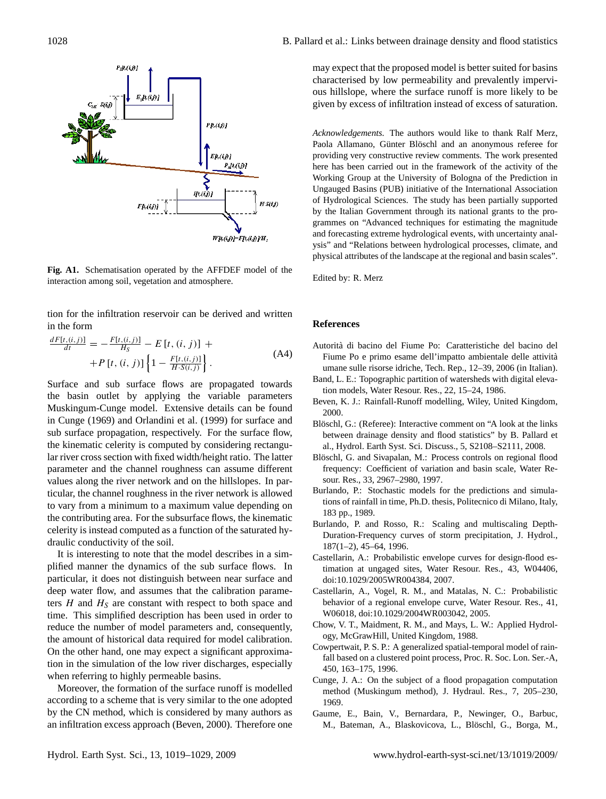

<span id="page-9-11"></span>**Fig. A1.** Schematisation operated by the AFFDEF model of the interaction among soil, vegetation and atmosphere.

tion for the infiltration reservoir can be derived and written in the form

$$
\frac{dF[t,(i,j)]}{dt} = -\frac{F[t,(i,j)]}{H_S} - E[t,(i,j)] +
$$
  
+ $P[t,(i,j)] \left\{ 1 - \frac{F[t,(i,j)]}{H \cdot S(i,j)} \right\}.$  (A4)

Surface and sub surface flows are propagated towards the basin outlet by applying the variable parameters Muskingum-Cunge model. Extensive details can be found in [Cunge](#page-9-12) [\(1969\)](#page-9-12) and [Orlandini et al.](#page-10-31) [\(1999\)](#page-10-31) for surface and sub surface propagation, respectively. For the surface flow, the kinematic celerity is computed by considering rectangular river cross section with fixed width/height ratio. The latter parameter and the channel roughness can assume different values along the river network and on the hillslopes. In particular, the channel roughness in the river network is allowed to vary from a minimum to a maximum value depending on the contributing area. For the subsurface flows, the kinematic celerity is instead computed as a function of the saturated hydraulic conductivity of the soil.

It is interesting to note that the model describes in a simplified manner the dynamics of the sub surface flows. In particular, it does not distinguish between near surface and deep water flow, and assumes that the calibration parameters  $H$  and  $H<sub>S</sub>$  are constant with respect to both space and time. This simplified description has been used in order to reduce the number of model parameters and, consequently, the amount of historical data required for model calibration. On the other hand, one may expect a significant approximation in the simulation of the low river discharges, especially when referring to highly permeable basins.

Moreover, the formation of the surface runoff is modelled according to a scheme that is very similar to the one adopted by the CN method, which is considered by many authors as an infiltration excess approach [\(Beven,](#page-9-13) [2000\)](#page-9-13). Therefore one may expect that the proposed model is better suited for basins characterised by low permeability and prevalently impervious hillslope, where the surface runoff is more likely to be given by excess of infiltration instead of excess of saturation.

*Acknowledgements.* The authors would like to thank Ralf Merz, Paola Allamano, Günter Blöschl and an anonymous referee for providing very constructive review comments. The work presented here has been carried out in the framework of the activity of the Working Group at the University of Bologna of the Prediction in Ungauged Basins (PUB) initiative of the International Association of Hydrological Sciences. The study has been partially supported by the Italian Government through its national grants to the programmes on "Advanced techniques for estimating the magnitude and forecasting extreme hydrological events, with uncertainty analysis" and "Relations between hydrological processes, climate, and physical attributes of the landscape at the regional and basin scales".

Edited by: R. Merz

#### **References**

- <span id="page-9-4"></span>Autorita di bacino del Fiume Po: Caratteristiche del bacino del ` Fiume Po e primo esame dell'impatto ambientale delle attivita` umane sulle risorse idriche, Tech. Rep., 12–39, 2006 (in Italian).
- <span id="page-9-9"></span>Band, L. E.: Topographic partition of watersheds with digital elevation models, Water Resour. Res., 22, 15–24, 1986.
- <span id="page-9-13"></span>Beven, K. J.: Rainfall-Runoff modelling, Wiley, United Kingdom, 2000.
- <span id="page-9-0"></span>Blöschl, G.: (Referee): Interactive comment on "A look at the links between drainage density and flood statistics" by B. Pallard et al., Hydrol. Earth Syst. Sci. Discuss., 5, S2108–S2111, 2008.
- <span id="page-9-8"></span>Blöschl, G. and Sivapalan, M.: Process controls on regional flood frequency: Coefficient of variation and basin scale, Water Resour. Res., 33, 2967–2980, 1997.
- <span id="page-9-2"></span>Burlando, P.: Stochastic models for the predictions and simulations of rainfall in time, Ph.D. thesis, Politecnico di Milano, Italy, 183 pp., 1989.
- <span id="page-9-3"></span>Burlando, P. and Rosso, R.: Scaling and multiscaling Depth-Duration-Frequency curves of storm precipitation, J. Hydrol., 187(1–2), 45–64, 1996.
- <span id="page-9-6"></span>Castellarin, A.: Probabilistic envelope curves for design-flood estimation at ungaged sites, Water Resour. Res., 43, W04406, doi:10.1029/2005WR004384, 2007.
- <span id="page-9-5"></span>Castellarin, A., Vogel, R. M., and Matalas, N. C.: Probabilistic behavior of a regional envelope curve, Water Resour. Res., 41, W06018, doi:10.1029/2004WR003042, 2005.
- <span id="page-9-10"></span>Chow, V. T., Maidment, R. M., and Mays, L. W.: Applied Hydrology, McGrawHill, United Kingdom, 1988.
- <span id="page-9-1"></span>Cowpertwait, P. S. P.: A generalized spatial-temporal model of rainfall based on a clustered point process, Proc. R. Soc. Lon. Ser.-A, 450, 163–175, 1996.
- <span id="page-9-12"></span>Cunge, J. A.: On the subject of a flood propagation computation method (Muskingum method), J. Hydraul. Res., 7, 205–230, 1969.
- <span id="page-9-7"></span>Gaume, E., Bain, V., Bernardara, P., Newinger, O., Barbuc, M., Bateman, A., Blaskovicova, L., Blöschl, G., Borga, M.,